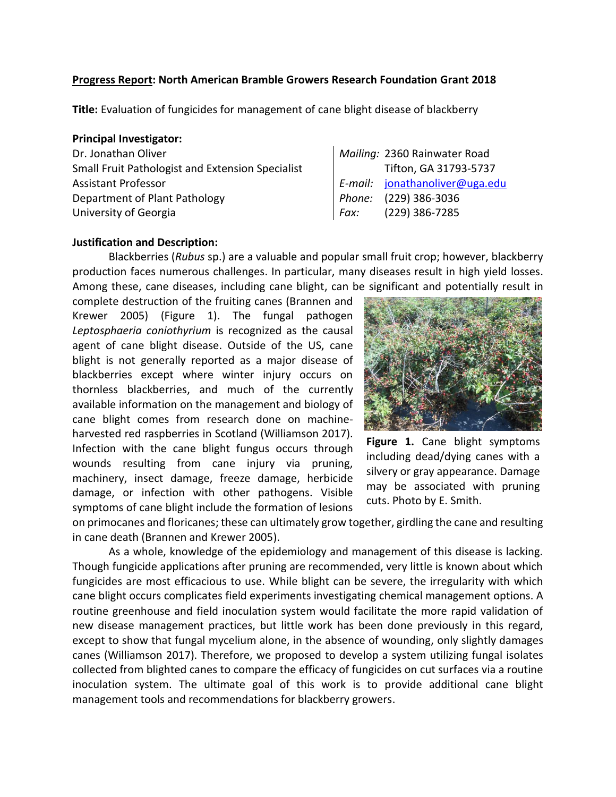### **Progress Report: North American Bramble Growers Research Foundation Grant 2018**

**Title:** Evaluation of fungicides for management of cane blight disease of blackberry

#### **Principal Investigator:**

| Dr. Jonathan Oliver                                     |
|---------------------------------------------------------|
| <b>Small Fruit Pathologist and Extension Specialist</b> |
| <b>Assistant Professor</b>                              |
| Department of Plant Pathology                           |
| University of Georgia                                   |

# Mailing: 2360 Rainwater Road Tifton, GA 31793-5737 Assistant Professor *E-mail:* [jonathanoliver@uga.edu](mailto:jonathanoliver@uga.edu) Phone: (229) 386-3036 University of Georgia *Fax:* (229) 386-7285

### **Justification and Description:**

Blackberries (*Rubus* sp.) are a valuable and popular small fruit crop; however, blackberry production faces numerous challenges. In particular, many diseases result in high yield losses. Among these, cane diseases, including cane blight, can be significant and potentially result in

complete destruction of the fruiting canes (Brannen and Krewer 2005) (Figure 1). The fungal pathogen *Leptosphaeria coniothyrium* is recognized as the causal agent of cane blight disease. Outside of the US, cane blight is not generally reported as a major disease of blackberries except where winter injury occurs on thornless blackberries, and much of the currently available information on the management and biology of cane blight comes from research done on machineharvested red raspberries in Scotland (Williamson 2017). Infection with the cane blight fungus occurs through wounds resulting from cane injury via pruning, machinery, insect damage, freeze damage, herbicide damage, or infection with other pathogens. Visible symptoms of cane blight include the formation of lesions



**Figure 1.** Cane blight symptoms including dead/dying canes with a silvery or gray appearance. Damage may be associated with pruning cuts. Photo by E. Smith.

on primocanes and floricanes; these can ultimately grow together, girdling the cane and resulting in cane death (Brannen and Krewer 2005).

As a whole, knowledge of the epidemiology and management of this disease is lacking. Though fungicide applications after pruning are recommended, very little is known about which fungicides are most efficacious to use. While blight can be severe, the irregularity with which cane blight occurs complicates field experiments investigating chemical management options. A routine greenhouse and field inoculation system would facilitate the more rapid validation of new disease management practices, but little work has been done previously in this regard, except to show that fungal mycelium alone, in the absence of wounding, only slightly damages canes (Williamson 2017). Therefore, we proposed to develop a system utilizing fungal isolates collected from blighted canes to compare the efficacy of fungicides on cut surfaces via a routine inoculation system. The ultimate goal of this work is to provide additional cane blight management tools and recommendations for blackberry growers.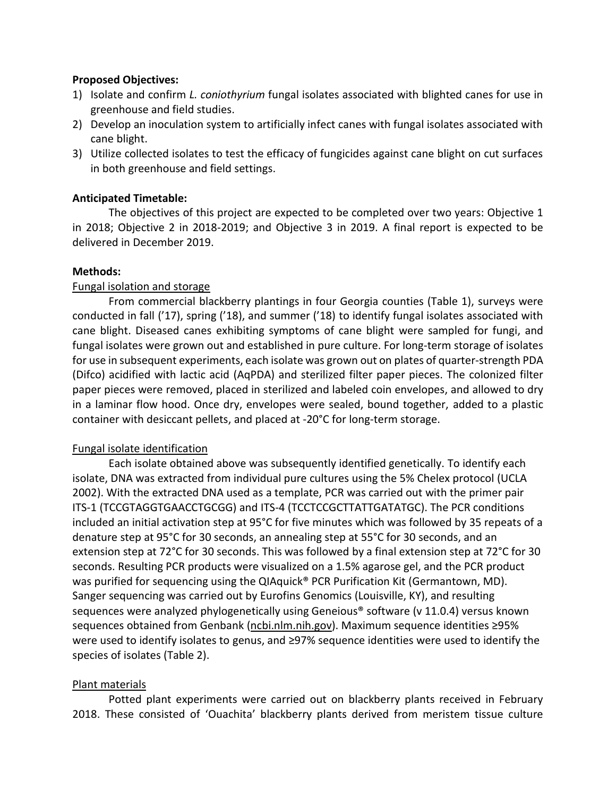### **Proposed Objectives:**

- 1) Isolate and confirm *L. coniothyrium* fungal isolates associated with blighted canes for use in greenhouse and field studies.
- 2) Develop an inoculation system to artificially infect canes with fungal isolates associated with cane blight.
- 3) Utilize collected isolates to test the efficacy of fungicides against cane blight on cut surfaces in both greenhouse and field settings.

## **Anticipated Timetable:**

The objectives of this project are expected to be completed over two years: Objective 1 in 2018; Objective 2 in 2018-2019; and Objective 3 in 2019. A final report is expected to be delivered in December 2019.

### **Methods:**

## Fungal isolation and storage

From commercial blackberry plantings in four Georgia counties (Table 1), surveys were conducted in fall ('17), spring ('18), and summer ('18) to identify fungal isolates associated with cane blight. Diseased canes exhibiting symptoms of cane blight were sampled for fungi, and fungal isolates were grown out and established in pure culture. For long-term storage of isolates for use in subsequent experiments, each isolate was grown out on plates of quarter-strength PDA (Difco) acidified with lactic acid (AqPDA) and sterilized filter paper pieces. The colonized filter paper pieces were removed, placed in sterilized and labeled coin envelopes, and allowed to dry in a laminar flow hood. Once dry, envelopes were sealed, bound together, added to a plastic container with desiccant pellets, and placed at -20°C for long-term storage.

### Fungal isolate identification

Each isolate obtained above was subsequently identified genetically. To identify each isolate, DNA was extracted from individual pure cultures using the 5% Chelex protocol (UCLA 2002). With the extracted DNA used as a template, PCR was carried out with the primer pair ITS-1 (TCCGTAGGTGAACCTGCGG) and ITS-4 (TCCTCCGCTTATTGATATGC). The PCR conditions included an initial activation step at 95°C for five minutes which was followed by 35 repeats of a denature step at 95°C for 30 seconds, an annealing step at 55°C for 30 seconds, and an extension step at 72°C for 30 seconds. This was followed by a final extension step at 72°C for 30 seconds. Resulting PCR products were visualized on a 1.5% agarose gel, and the PCR product was purified for sequencing using the QIAquick<sup>®</sup> PCR Purification Kit (Germantown, MD). Sanger sequencing was carried out by Eurofins Genomics (Louisville, KY), and resulting sequences were analyzed phylogenetically using Geneious® software (v 11.0.4) versus known sequences obtained from Genbank (ncbi.nlm.nih.gov). Maximum sequence identities ≥95% were used to identify isolates to genus, and ≥97% sequence identities were used to identify the species of isolates (Table 2).

## Plant materials

Potted plant experiments were carried out on blackberry plants received in February 2018. These consisted of 'Ouachita' blackberry plants derived from meristem tissue culture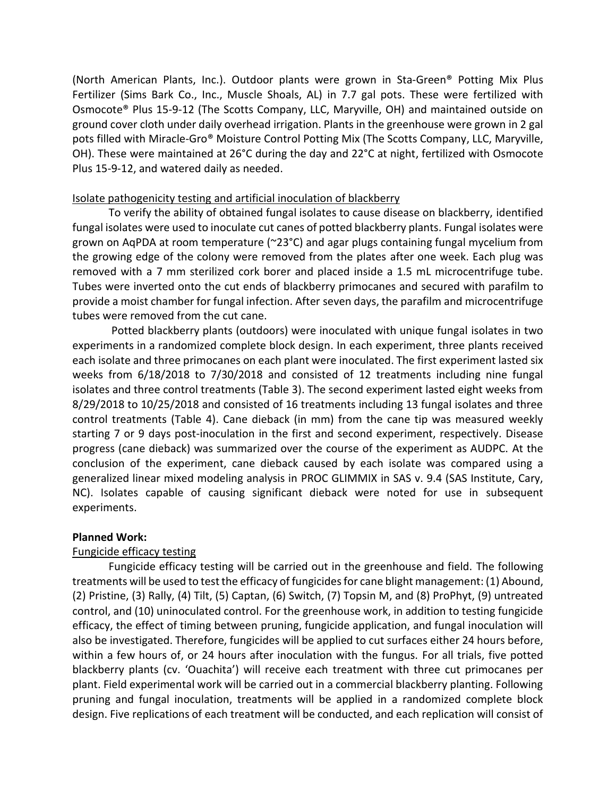(North American Plants, Inc.). Outdoor plants were grown in Sta-Green® Potting Mix Plus Fertilizer (Sims Bark Co., Inc., Muscle Shoals, AL) in 7.7 gal pots. These were fertilized with Osmocote® Plus 15-9-12 (The Scotts Company, LLC, Maryville, OH) and maintained outside on ground cover cloth under daily overhead irrigation. Plants in the greenhouse were grown in 2 gal pots filled with Miracle-Gro® Moisture Control Potting Mix (The Scotts Company, LLC, Maryville, OH). These were maintained at 26°C during the day and 22°C at night, fertilized with Osmocote Plus 15-9-12, and watered daily as needed.

### Isolate pathogenicity testing and artificial inoculation of blackberry

To verify the ability of obtained fungal isolates to cause disease on blackberry, identified fungal isolates were used to inoculate cut canes of potted blackberry plants. Fungal isolates were grown on AqPDA at room temperature (~23°C) and agar plugs containing fungal mycelium from the growing edge of the colony were removed from the plates after one week. Each plug was removed with a 7 mm sterilized cork borer and placed inside a 1.5 mL microcentrifuge tube. Tubes were inverted onto the cut ends of blackberry primocanes and secured with parafilm to provide a moist chamber for fungal infection. After seven days, the parafilm and microcentrifuge tubes were removed from the cut cane.

Potted blackberry plants (outdoors) were inoculated with unique fungal isolates in two experiments in a randomized complete block design. In each experiment, three plants received each isolate and three primocanes on each plant were inoculated. The first experiment lasted six weeks from 6/18/2018 to 7/30/2018 and consisted of 12 treatments including nine fungal isolates and three control treatments (Table 3). The second experiment lasted eight weeks from 8/29/2018 to 10/25/2018 and consisted of 16 treatments including 13 fungal isolates and three control treatments (Table 4). Cane dieback (in mm) from the cane tip was measured weekly starting 7 or 9 days post-inoculation in the first and second experiment, respectively. Disease progress (cane dieback) was summarized over the course of the experiment as AUDPC. At the conclusion of the experiment, cane dieback caused by each isolate was compared using a generalized linear mixed modeling analysis in PROC GLIMMIX in SAS v. 9.4 (SAS Institute, Cary, NC). Isolates capable of causing significant dieback were noted for use in subsequent experiments.

### **Planned Work:**

### Fungicide efficacy testing

Fungicide efficacy testing will be carried out in the greenhouse and field. The following treatments will be used to test the efficacy of fungicides for cane blight management: (1) Abound, (2) Pristine, (3) Rally, (4) Tilt, (5) Captan, (6) Switch, (7) Topsin M, and (8) ProPhyt, (9) untreated control, and (10) uninoculated control. For the greenhouse work, in addition to testing fungicide efficacy, the effect of timing between pruning, fungicide application, and fungal inoculation will also be investigated. Therefore, fungicides will be applied to cut surfaces either 24 hours before, within a few hours of, or 24 hours after inoculation with the fungus. For all trials, five potted blackberry plants (cv. 'Ouachita') will receive each treatment with three cut primocanes per plant. Field experimental work will be carried out in a commercial blackberry planting. Following pruning and fungal inoculation, treatments will be applied in a randomized complete block design. Five replications of each treatment will be conducted, and each replication will consist of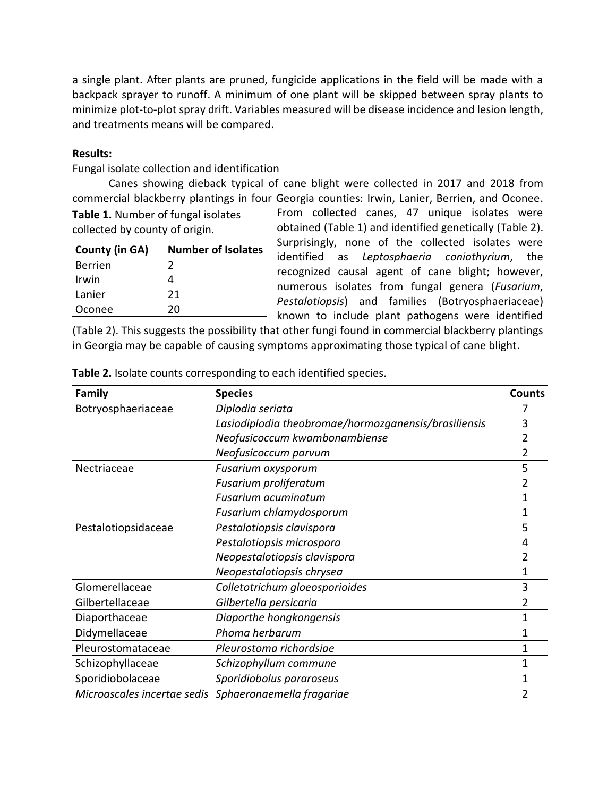a single plant. After plants are pruned, fungicide applications in the field will be made with a backpack sprayer to runoff. A minimum of one plant will be skipped between spray plants to minimize plot-to-plot spray drift. Variables measured will be disease incidence and lesion length, and treatments means will be compared.

#### **Results:**

### Fungal isolate collection and identification

Canes showing dieback typical of cane blight were collected in 2017 and 2018 from commercial blackberry plantings in four Georgia counties: Irwin, Lanier, Berrien, and Oconee.

**Table 1.** Number of fungal isolates collected by county of origin.

| <b>County (in GA)</b> | <b>Number of Isolates</b> |
|-----------------------|---------------------------|
| <b>Berrien</b>        | 2                         |
| Irwin                 | 4                         |
| Lanier                | 21                        |
| Oconee                | 20                        |

From collected canes, 47 unique isolates were obtained (Table 1) and identified genetically (Table 2). Surprisingly, none of the collected isolates were identified as *Leptosphaeria coniothyrium*, the recognized causal agent of cane blight; however, numerous isolates from fungal genera (*Fusarium*, *Pestalotiopsis*) and families (Botryosphaeriaceae) known to include plant pathogens were identified

(Table 2). This suggests the possibility that other fungi found in commercial blackberry plantings in Georgia may be capable of causing symptoms approximating those typical of cane blight.

| Family                      | <b>Species</b>                                       | <b>Counts</b> |
|-----------------------------|------------------------------------------------------|---------------|
| Botryosphaeriaceae          | Diplodia seriata                                     |               |
|                             | Lasiodiplodia theobromae/hormozganensis/brasiliensis |               |
|                             | Neofusicoccum kwambonambiense                        |               |
|                             | Neofusicoccum parvum                                 |               |
| Nectriaceae                 | Fusarium oxysporum                                   | 5             |
|                             | Fusarium proliferatum                                |               |
|                             | <b>Fusarium acuminatum</b>                           |               |
|                             | Fusarium chlamydosporum                              |               |
| Pestalotiopsidaceae         | Pestalotiopsis clavispora                            | 5             |
|                             | Pestalotiopsis microspora                            |               |
|                             | Neopestalotiopsis clavispora                         |               |
|                             | Neopestalotiopsis chrysea                            |               |
| Glomerellaceae              | Colletotrichum gloeosporioides                       | 3             |
| Gilbertellaceae             | Gilbertella persicaria                               | 2             |
| Diaporthaceae               | Diaporthe hongkongensis                              |               |
| Didymellaceae               | Phoma herbarum                                       |               |
| Pleurostomataceae           | Pleurostoma richardsiae                              |               |
| Schizophyllaceae            | Schizophyllum commune                                |               |
| Sporidiobolaceae            | Sporidiobolus pararoseus                             |               |
| Microascales incertae sedis | Sphaeronaemella fragariae                            |               |

**Table 2.** Isolate counts corresponding to each identified species.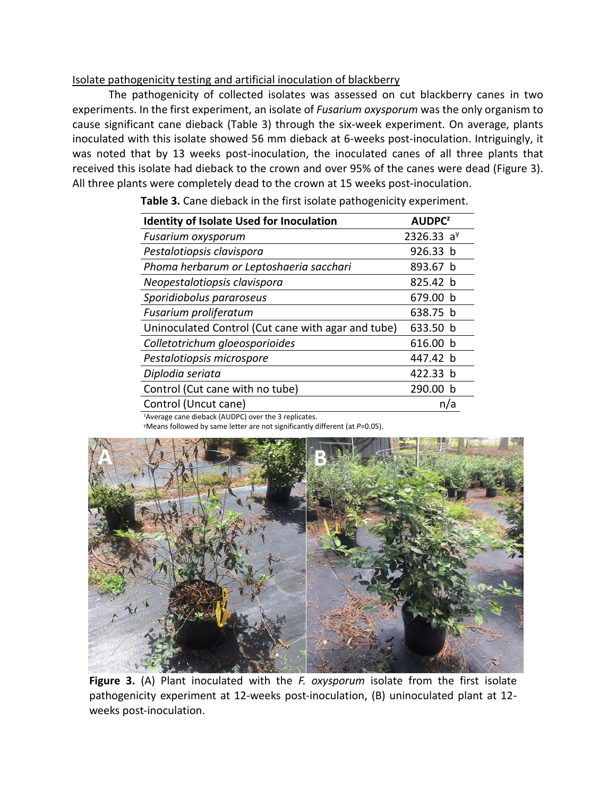### Isolate pathogenicity testing and artificial inoculation of blackberry

The pathogenicity of collected isolates was assessed on cut blackberry canes in two experiments. In the first experiment, an isolate of *Fusarium oxysporum* was the only organism to cause significant cane dieback (Table 3) through the six-week experiment. On average, plants inoculated with this isolate showed 56 mm dieback at 6-weeks post-inoculation. Intriguingly, it was noted that by 13 weeks post-inoculation, the inoculated canes of all three plants that received this isolate had dieback to the crown and over 95% of the canes were dead (Figure 3). All three plants were completely dead to the crown at 15 weeks post-inoculation.

| <b>Identity of Isolate Used for Inoculation</b>    | <b>AUDPC<sup>2</sup></b> |
|----------------------------------------------------|--------------------------|
| <b>Fusarium oxysporum</b>                          | 2326.33 $a^y$            |
| Pestalotiopsis clavispora                          | 926.33 b                 |
| Phoma herbarum or Leptoshaeria sacchari            | 893.67 b                 |
| Neopestalotiopsis clavispora                       | 825.42 b                 |
| Sporidiobolus pararoseus                           | 679.00 b                 |
| Fusarium proliferatum                              | 638.75 b                 |
| Uninoculated Control (Cut cane with agar and tube) | 633.50 b                 |
| Colletotrichum gloeosporioides                     | 616.00 b                 |
| Pestalotiopsis microspore                          | 447.42 b                 |
| Diplodia seriata                                   | 422.33 b                 |
| Control (Cut cane with no tube)                    | 290.00 b                 |
| Control (Uncut cane)                               | n/a                      |
|                                                    |                          |

**Table 3.** Cane dieback in the first isolate pathogenicity experiment.

<sup>z</sup>Average cane dieback (AUDPC) over the 3 replicates.

<sup>y</sup>Means followed by same letter are not significantly different (at *P=*0.05).



**Figure 3.** (A) Plant inoculated with the *F. oxysporum* isolate from the first isolate pathogenicity experiment at 12-weeks post-inoculation, (B) uninoculated plant at 12 weeks post-inoculation.